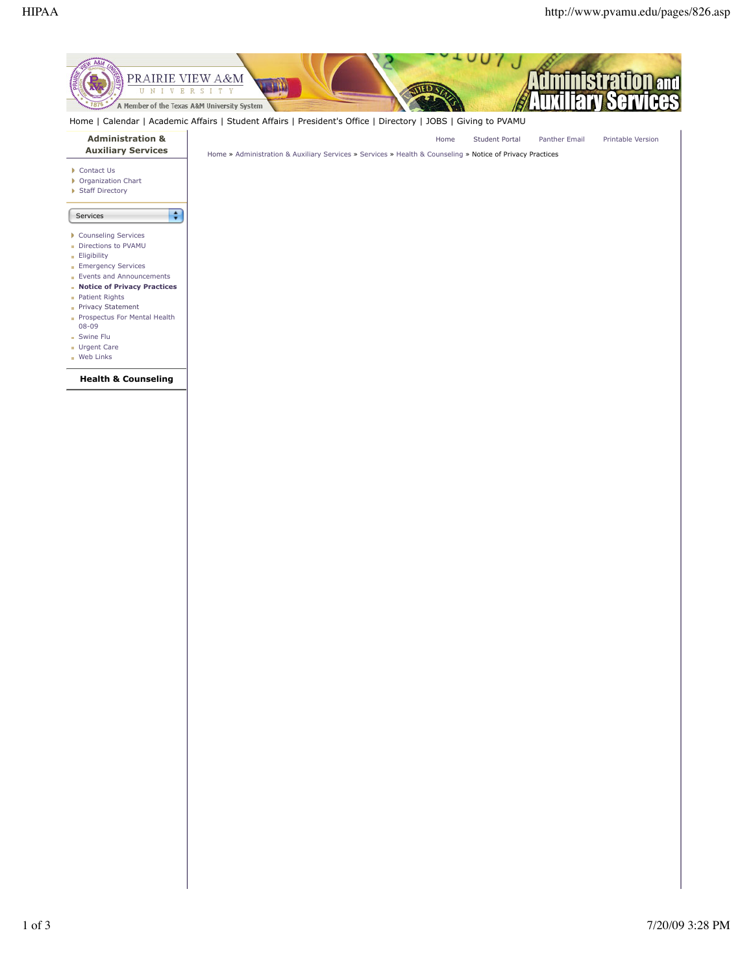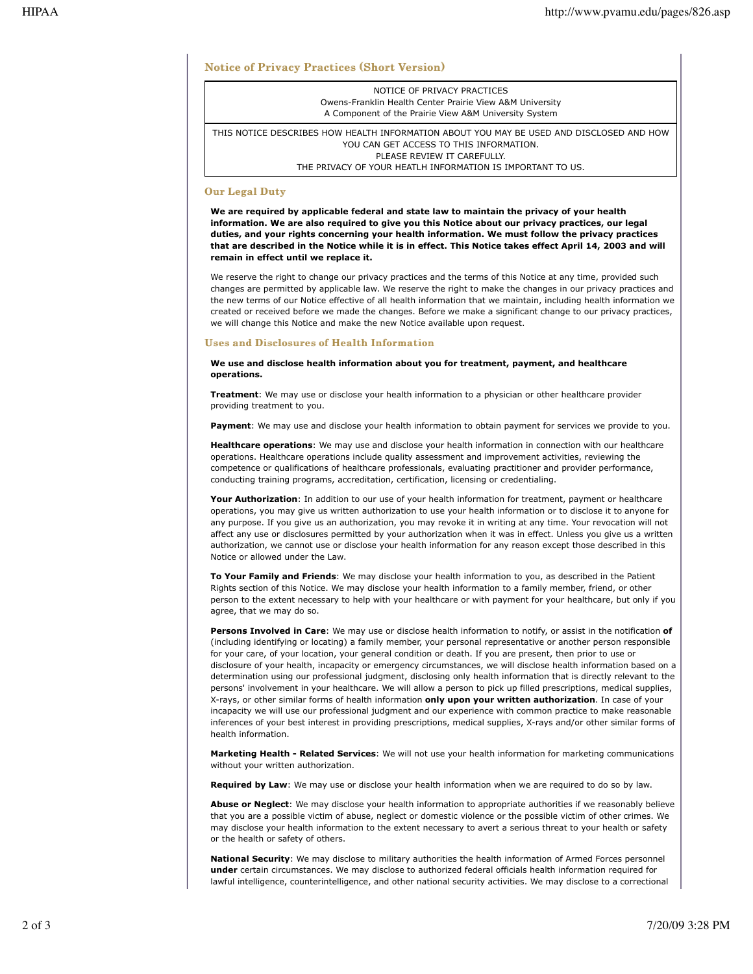# **Notice of Privacy Practices (Short Version)**

NOTICE OF PRIVACY PRACTICES Owens-Franklin Health Center Prairie View A&M University A Component of the Prairie View A&M University System

THIS NOTICE DESCRIBES HOW HEALTH INFORMATION ABOUT YOU MAY BE USED AND DISCLOSED AND HOW YOU CAN GET ACCESS TO THIS INFORMATION. PLEASE REVIEW IT CAREFULLY. THE PRIVACY OF YOUR HEATLH INFORMATION IS IMPORTANT TO US.

## **Our Legal Duty**

We are required by applicable federal and state law to maintain the privacy of your health information. We are also required to give you this Notice about our privacy practices, our legal duties, and your rights concerning your health information. We must follow the privacy practices that are described in the Notice while it is in effect. This Notice takes effect April 14, 2003 and will remain in effect until we replace it.

We reserve the right to change our privacy practices and the terms of this Notice at any time, provided such changes are permitted by applicable law. We reserve the right to make the changes in our privacy practices and the new terms of our Notice effective of all health information that we maintain, including health information we created or received before we made the changes. Before we make a significant change to our privacy practices, we will change this Notice and make the new Notice available upon request.

#### **Uses and Disclosures of Health Information**

We use and disclose health information about you for treatment, payment, and healthcare operations.

Treatment: We may use or disclose your health information to a physician or other healthcare provider providing treatment to you.

Payment: We may use and disclose your health information to obtain payment for services we provide to you.

Healthcare operations: We may use and disclose your health information in connection with our healthcare operations. Healthcare operations include quality assessment and improvement activities, reviewing the competence or qualifications of healthcare professionals, evaluating practitioner and provider performance, conducting training programs, accreditation, certification, licensing or credentialing.

Your Authorization: In addition to our use of your health information for treatment, payment or healthcare operations, you may give us written authorization to use your health information or to disclose it to anyone for any purpose. If you give us an authorization, you may revoke it in writing at any time. Your revocation will not affect any use or disclosures permitted by your authorization when it was in effect. Unless you give us a written authorization, we cannot use or disclose your health information for any reason except those described in this Notice or allowed under the Law.

To Your Family and Friends: We may disclose your health information to you, as described in the Patient Rights section of this Notice. We may disclose your health information to a family member, friend, or other person to the extent necessary to help with your healthcare or with payment for your healthcare, but only if you agree, that we may do so.

Persons Involved in Care: We may use or disclose health information to notify, or assist in the notification of (including identifying or locating) a family member, your personal representative or another person responsible for your care, of your location, your general condition or death. If you are present, then prior to use or disclosure of your health, incapacity or emergency circumstances, we will disclose health information based on a determination using our professional judgment, disclosing only health information that is directly relevant to the persons' involvement in your healthcare. We will allow a person to pick up filled prescriptions, medical supplies, X-rays, or other similar forms of health information only upon your written authorization. In case of your incapacity we will use our professional judgment and our experience with common practice to make reasonable inferences of your best interest in providing prescriptions, medical supplies, X-rays and/or other similar forms of health information.

Marketing Health - Related Services: We will not use your health information for marketing communications without your written authorization.

Required by Law: We may use or disclose your health information when we are required to do so by law.

Abuse or Neglect: We may disclose your health information to appropriate authorities if we reasonably believe that you are a possible victim of abuse, neglect or domestic violence or the possible victim of other crimes. We may disclose your health information to the extent necessary to avert a serious threat to your health or safety or the health or safety of others.

National Security: We may disclose to military authorities the health information of Armed Forces personnel under certain circumstances. We may disclose to authorized federal officials health information required for lawful intelligence, counterintelligence, and other national security activities. We may disclose to a correctional